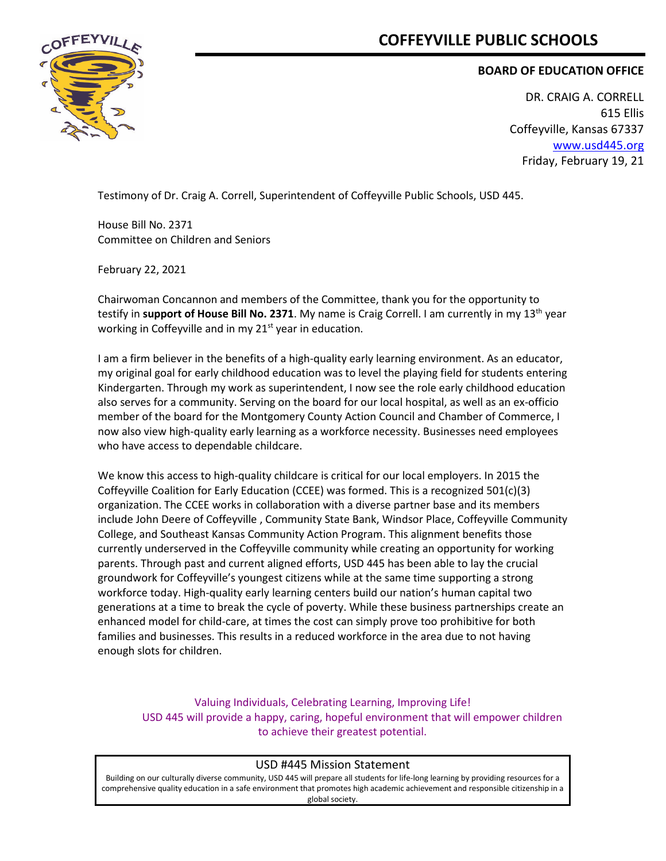# **COFFEYVILLE PUBLIC SCHOOLS**



## **BOARD OF EDUCATION OFFICE**

DR. CRAIG A. CORRELL 615 Ellis Coffeyville, Kansas 67337 [www.usd445.org](http://www.usd445.org/) Friday, February 19, 21

Testimony of Dr. Craig A. Correll, Superintendent of Coffeyville Public Schools, USD 445.

House Bill No. 2371 Committee on Children and Seniors

February 22, 2021

Chairwoman Concannon and members of the Committee, thank you for the opportunity to testify in **support of House Bill No. 2371**. My name is Craig Correll. I am currently in my 13th year working in Coffeyville and in my 21<sup>st</sup> year in education.

I am a firm believer in the benefits of a high-quality early learning environment. As an educator, my original goal for early childhood education was to level the playing field for students entering Kindergarten. Through my work as superintendent, I now see the role early childhood education also serves for a community. Serving on the board for our local hospital, as well as an ex-officio member of the board for the Montgomery County Action Council and Chamber of Commerce, I now also view high-quality early learning as a workforce necessity. Businesses need employees who have access to dependable childcare.

We know this access to high-quality childcare is critical for our local employers. In 2015 the Coffeyville Coalition for Early Education (CCEE) was formed. This is a recognized 501(c)(3) organization. The CCEE works in collaboration with a diverse partner base and its members include John Deere of Coffeyville , Community State Bank, Windsor Place, Coffeyville Community College, and Southeast Kansas Community Action Program. This alignment benefits those currently underserved in the Coffeyville community while creating an opportunity for working parents. Through past and current aligned efforts, USD 445 has been able to lay the crucial groundwork for Coffeyville's youngest citizens while at the same time supporting a strong workforce today. High-quality early learning centers build our nation's human capital two generations at a time to break the cycle of poverty. While these business partnerships create an enhanced model for child-care, at times the cost can simply prove too prohibitive for both families and businesses. This results in a reduced workforce in the area due to not having enough slots for children.

Valuing Individuals, Celebrating Learning, Improving Life! USD 445 will provide a happy, caring, hopeful environment that will empower children to achieve their greatest potential.

#### USD #445 Mission Statement

Building on our culturally diverse community, USD 445 will prepare all students for life-long learning by providing resources for a comprehensive quality education in a safe environment that promotes high academic achievement and responsible citizenship in a global society.